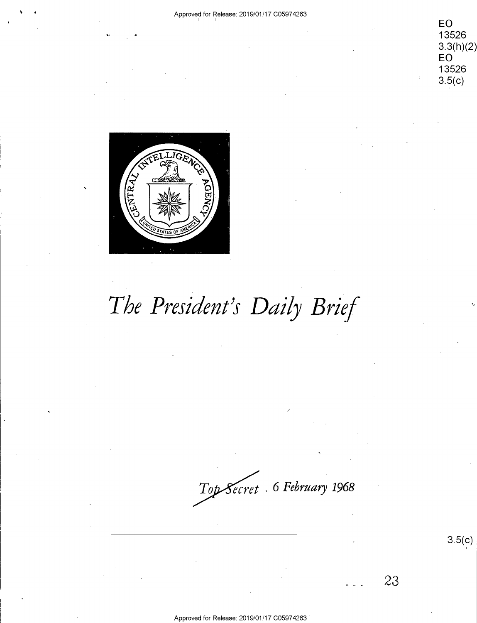**EO**  13526 EC) <sup>13526</sup> 3.3(h)(2)<br>EO<br>13526 **EO**  13526  $3.5(c)$ 



'

 $\mathbf{v}$ 

# The President's Daily Brief

~ , *6 February 1968*   $Top \textbf{\textit{S}ecret }$  , 6 February 1968

Approved for Release: 2019/01/17 C0597 4263 Approved for Release: 2019/01/17 005974263 '

 $3.5(c)$ 

23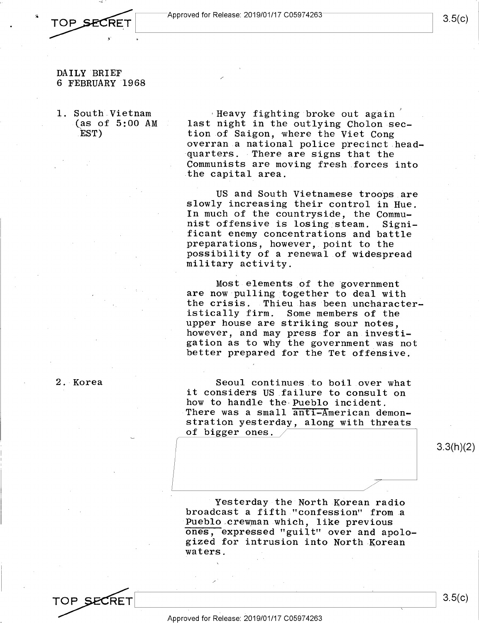

#### **DAILY** BRIEF DAILY'BRIEF 6 FEBRUARY 1968 6 FEBRUARY 1968

1. South Vietnam 1. South Vietnam (as of 5:00 AM last EST) .EST)

2. Korea 2.1Korea

Heavy fighting broke out again  $^{'}\,$ last night in the outlying Cholon sec-last night in the outlying Cholon-sec tion of Saigon, where the Viet Cong overran a national police precinct head-overran.a national police precinct.head quarters. There are signs that the Communists are moving fresh forces into Communists are moving fresh forces into the capital area. .the capital area.

US and South Vietnamese troops are US and South Vietnamese troOps are slowly increasing their control in Hue. slowly increasing their control in Hue. In much of the countryside, the Commu-In much of the countryside, the Commu nist offensive is losing steam. Signi-nist offensive is losing steam. Signi ficant enemy concentrations and battle ficant enemy concentrations and battle preparations, however, point to the possibility of a renewal of widespread possibility of <sup>a</sup> renewal.of.wideSpread military activity. military activity. TOP SECRET  $\begin{bmatrix} 1 & 0 & 0 & 0 \\ 0 & 0 & 0 & 0 \\ 0 & 0 & 0 & 0 \\ 0 & 0 & 0 & 0 \\ 0 & 0 & 0 & 0 \\ 0 & 0 & 0 & 0 \\ 0 & 0 & 0 & 0 \\ 0 & 0 & 0 & 0 \\ 0 & 0 & 0 & 0 \\ 0 & 0 & 0 & 0 \\ 0 & 0 & 0 & 0 \\ 0 & 0 & 0 & 0 \\ 0 & 0 & 0 & 0 \\ 0 & 0 & 0 & 0 \\ 0 & 0 & 0 & 0 \\ 0 & 0 & 0 & 0 \\ 0 & 0 & 0 & 0$ 

Most elements of the government Most elements of the government are now pulling together to deal with the crisis. Thieu has been uncharacter-the crisis. .Thieu.has been.uncharacter istically firm. Some members of the istically firm. Some members of the upper house are striking sour notes, upper house are striking sour notes, however, and may press for an investi-however, and may press-for an.investigation as to why the government was not gation as to why the government was not better prepared for the Tet offensive. better prepared for the Tet offensive.

Seoul continues to boil over what Seoul continues to boil\_over what it considers US failure to consult on it considers US failure to consult on how to handle the-Pueblo incident. how to handle the Pueblo incident. There was a small anti-American demonstration yesterday, along with threats stration yesterday, along with threats of bigger ones. The state of the state of  $\sim$ 

3.3(h)(2) 3.3(h)(2)

Yesterday the North Korean radio 'Yesterday-the North KOrean radio broadcast a fifth "confession" from a broadcast <sup>a</sup> fifth."confession" from.a Pueblo crewman which, like previous ones, expressed "guilt" over and apolo-ones, expressed "guilt" over and apologized for intrusion into North Korean gized for intrusion into North Korean waters.

TOP SECRET **A** TOP SECRET  $|$  3.5(c)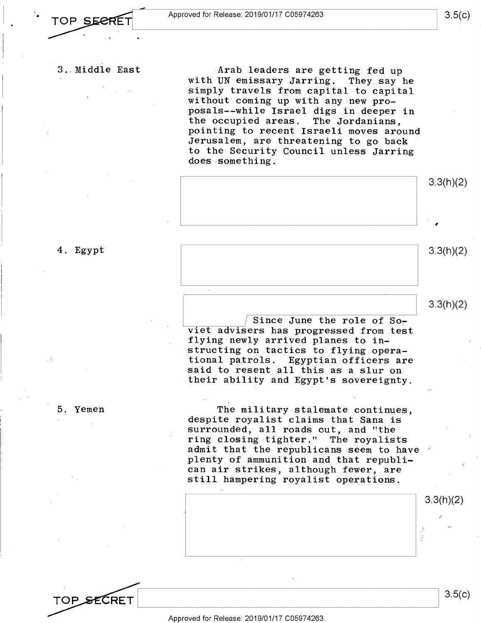**3 .. Middle East**  '3..Middle East

Arab leaders are getting fed up **with UN emissary Jarring. They say he**  with UN emissary Jarring. They.say he **simply travels from capital to capital**  simply travels from\_capital to capital **without coming up with any new pro-**without coming up with any new pro posals--while Israel digs in deeper in **the occupied areas. The Jordanians,**  the occupied areas. The Jordanians, **pointing to recent Israeli moves around**  pointing to recent Israeli moves around **Jerusalem, are threatening to go back**  Jerusalem, are threatening to go back **to the Security Council unless Jarring**  to the Security Council unless Jarring **does something.**  does-something.



4. Egypt 4. Egypt

5. Yemen 5..Yemen

TOP SECRET

~~~-~~/ Since June the role of so~ / Since June the role of Sor viet advisers has progressed from test viet advisers has progressed from.test flying newly arrived planes to in-flying newly arrived planes to in structing on tactics to flying opera--structing on.tactics to flying operational patrols. Egyptian officers are tional patrols. Egyptian officers are said to resent all this as a slur on said to resent all this as <sup>a</sup> slur on their ability and Egypt's sovereignty. .their ability and Egypt's sovereignty.

The military stalemate continues, The military stalemate continues, despite royalist claims that Sana is despite royalist claims that Sana is surrounded, all roads cut, and "the surrounded, all roads out, and "the ring closing tighter." The royalists ring closing-tighter." The royalists admit that the republicans seem to have plenty of ammunition and that republi-plenty of.ammunition and that republican air strikes, although fewer, are can air strikes, although fewer,.are still hampering royalist operations. still hampering royalist operations.



3.3(h)(2) 3.3(h)(2)

3.3(h)(2) 3.3(h)(2)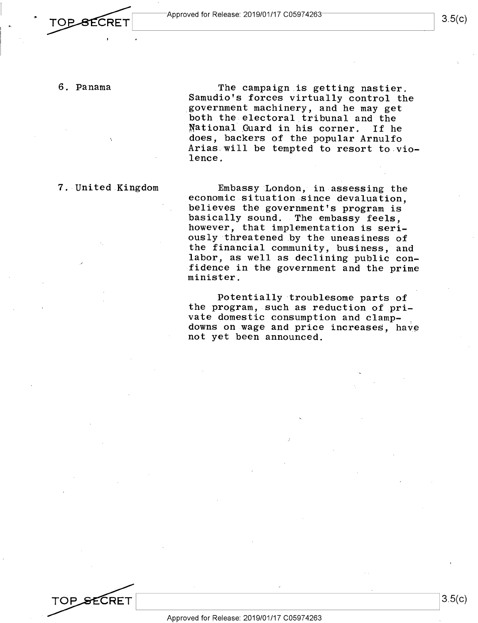. ~LI \_\_\_ A\_p\_pr-ov\_e\_d\_fo\_r\_R\_e\_le\_a\_se\_: \_20\_1\_9\_10\_1\_11\_7\_c\_o\_59\_7\_4-26\_3 \_\_\_\_\_\_\_\_\_ ------"I 3\_ S( C) Approved for Release: 2019/01/17 C05974263 3.5(C) 3.5(C)

6. Panama 6. Panama

The campaign is getting nastier. Samudio's forces virtually control the Samudio's forces virtually control the government machinery, and he may get \_government machinery, and he may get both the electoral tribunal and the NationaJ \_Guard in his corner. If he fiational Guard in his corner. If he does, backers of the popular Arnulfo Ariasswill be tempted to resort to.vio-Arias will be tempted to resort to vio lence.

7. United Kingdom

Embassy London, in assessing the 7. United Kingdom Embassy London, in-assessing the economic situation since devaluation, economic situation since devaluation, believes the government's program is believes the government's program is basically sound. The embassy feels, however, that implementation is seri-however, that implementation is seri ously threatened by the uneasiness of the financial community, business, and the financial community, business, and labor, as well as declining public confidence in the government and the prime 'fidence in the government and the prime minister. minister.

> Potentially troublesome parts of Potentially troublesome parts of the program, such as reduction of pri-the program, such as reduction of.pri-  $\mathbf{v}$ ate domestic consumption and clampdowns on wage and price increases, have not yet been announced. not yet been announced.

TOP SECRET

 $3.5(c)$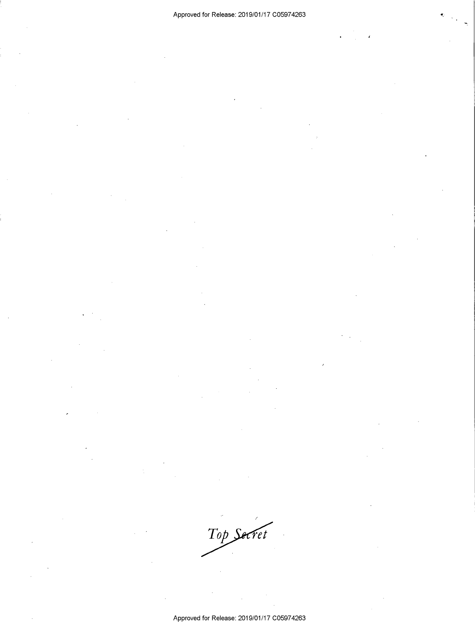Top Secret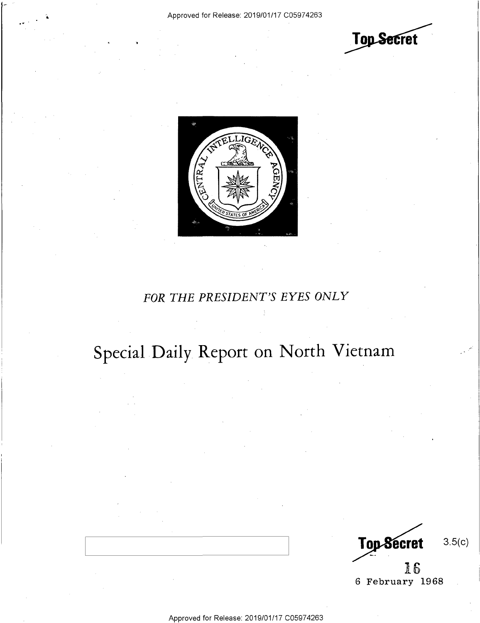



#### *FOR THE PRESIDENT'S EYES ONLY*  FOR THE PRESIDENT'S EYES ONLY

## **Special Daily Report on North Vietnam**  Special Daily. Report on North Vietnam

3.5(c) 16 3:0 6 February 1968 6 February 1968 Top Secret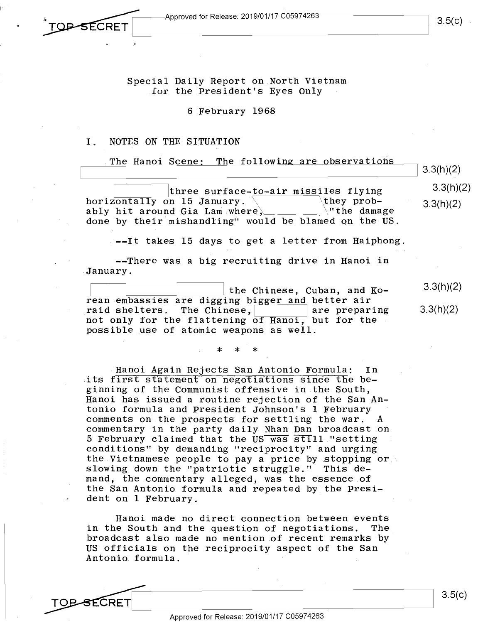<sup>~</sup>\_\_\_\_--;:=--Approved for Release: 2019/01/17 C0597426:~---------~ Approved for Release: 2019/01/17 CO5974263 Approved for Release: 2019/01/17 C05974263<br>
and the contract of the contract of the contract of the contract of the contract of the contract of the contract of the contract of the contract of the contract of the contract o

**Approved for Release: 2019/01/17 C05974263** TOP-SECRET

3.5(c)

Special Daily Report on North Vietnam Special Daily Report on North Vietnam for the President's Eyes Only

6 February 1968 6 February 1968

### I. NOTES ON THE SITUATION I. NOTES ON THE SITUATION

The Hanoi Scene: The following are observations 3.3(h)(2) three surface-<u>to-air miss</u>iles flying  $3.3(h)(2)$ horizontally on 15 January.  $\overline{\hspace{1cm}}$  they prob-  $\overline{33(h)(2)}$ norizontally on is January.<br>ably hit around Gia Lam where, where where the damage is allowed the damage of the damage done by their mishandling" would be blamed on the US. done by their mishandling" would be blamed on the US. 3.3(h)(2) 3.3(h)(2)  $3.3(h)(2)$ 

--It takes 15 days to get a letter from Haiphong. .——It takes 15 days to get <sup>a</sup> letter from Haiphong.

--There was a big recruiting drive in Hanoi in --There was <sup>a</sup> big recruiting drive in Hanoi in January. .January.

the Chinese, Cuban, and Ko-E: 'the Chinese, Cuban, and Ko- SEXhXZ) rean embassies are digging bigger and better air raid shelters. The Chinese,  $\begin{bmatrix} 1 & 0 & 0 & 0 \\ 0 & 0 & 0 & 0 \\ 0 & 0 & 0 & 0 \\ 0 & 0 & 0 & 0 \\ 0 & 0 & 0 & 0 \\ 0 & 0 & 0 & 0 \\ 0 & 0 & 0 & 0 \\ 0 & 0 & 0 & 0 \\ 0 & 0 & 0 & 0 \\ 0 & 0 & 0 & 0 \\ 0 & 0 & 0 & 0 \\ 0 & 0 & 0 & 0 \\ 0 & 0 & 0 & 0 \\ 0 & 0 & 0 & 0 & 0 \\ 0 & 0 & 0 & 0 & 0 \\$ not only for the flattening of Hanoi, but for the not only for the flattening of Hanoi, but for the possible use of atomic weapons as well. possible use of atomic weapons as well. 3.3(h)(2) 3.3(h)(2) raid shelters. The Chinese,  $\vert$  are preparing

> \* \* \* \*\* '\*

Hanoi Again Rejects San Antonio Formula: In .Hanoi Again Rejects San Antonio Formula: In its first statement on negotiations since the beginning of the Communist offensive in the South, ginning of the Communist offensive in.the South, Hanoi has issued a routine rejection of the San An-Hanoi has issued <sup>a</sup> routine rejection of the San Antonio formula and President Johnson's 1 February tonio formula and President Johnson's 1 February comments on the prospects for settling the war. A comments on.the prospects for settling the war. A commentary in the party daily Nhan Dan broadcast on commentary in the party daily Nhan Dan broadcast on sommonicaty in the party darty had been produced on conditions" by demanding "reciprocity" and urging conditions" by demanding "reciprocity" and urging the Vietnamese people to pay a price by Etopping or the Vietnamese people to pay <sup>a</sup> price by stopping or: slowing down the "patriotic struggle." This de-slowing down the "patriotic struggle." This de mand, the commentary alleged, was the essence of mand, the commentary alleged, was the essence of the San Antonio formula and repeated by the Presi-the San Antonio formula and repeated by the Presi dent on 1 February. dent on <sup>1</sup> February.

Hanoi made no direct connection between events Hanoi made no direct connection between events in the South and the question of negotiations. The in the South and the question of negotiations. The broadcast also made no mention of recent remarks by broadcast also made no mention.of recent remarks by' US officials on the reciprocity aspect of the San US officials on the reciprocity aspect of the San Antonio formula. Antonio formula. ' '

Approved for Release: 2019/01/17 C05974263 Approved for Release: 2019/01/17 C05974263 '

3.5(c)  $\overline{S}$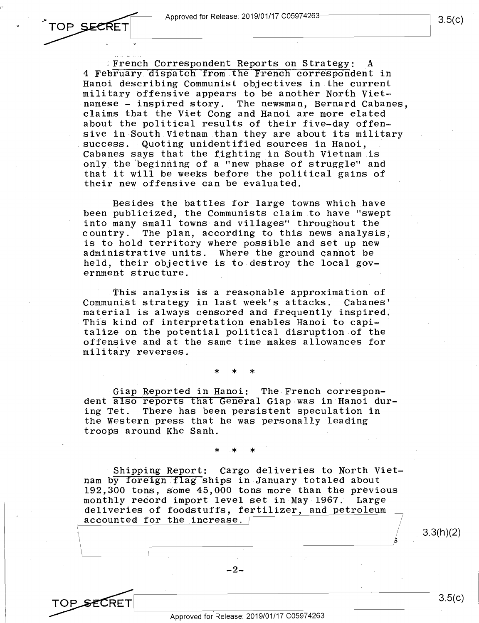,.

TOP SECRET

'9

TOP\_<del>SE</del>CRET

French Correspondent Reports on Strategy: A 4 February dispatch from the French correspondent in Hanoi describing Communist objectives in the current Hanoi describing Communist objectives in the current military offensive appears to be another North Vietnamese - inspired story. The newsman, Bernard Cabanes, claims that the Viet Cong and Hanoi are more elated claims that the Viet Cong and Hanoi are more elated about the political results of their five-day offen-about the political results of their five—day offenm about the porttreat results of their five day offen about its military success. Quoting unidentified sources in Hanoi, Cabanes says that the fighting in South Vietnam is Cabanes says that the fighting in South.Vietnam is only the beginning of a "new phase of struggle" and that it will be weeks before the political gains of that it will be weeks before\_the political gains of their new offensive can be evaluated. their new offensive can be evaluated.

Besides the battles for large towns which have Besides the battles for large towns which have been publicized, the Communists claim to have "swept been publicized, the Communists claim\_to have "swept into many small towns and villages'' throughout the into many small towns and villages" throughout the country.· The plan, according to this news analysis, country.' The plan, according to this news analysis, is to hold territory where possible and set up new is to hold territory where possible and set up new administrative units. Where the ground cannot be administrative units. Where the ground cannot be held, their objective is to destroy the local gov-held, their objective is to destroy the local gov ernment structure.

This analysis is a reasonable approximation of Communist strategy in last week's attacks. Cabanes' Communist strategy in last week's attacks. Cabanes' material is always censored and frequently inspired. material is always censored and frequently inspired. This kind of interpretation enables Hanoi to capi-'This kind-of interpretation enables Hanoi to capi talize on the potential political disruption of the talize on.the potential political disruption of the offensive and at the same time makes allowances for offensive and at the same time makes allowances for military reverses. military reverses.

> \* \* \* \*\*\_ \*

Giap Reported in Hanoi: The French correspondent also reports that General Giap was in Hanoi during Tet. There has been persistent speculation in ing Tet. There has been.persistent speculation in the Western press that he was personally leading the Western.press that he was personally leading troops around Khe Sanh. troops around Khe Sanh.

> \* \* \* \*.\* \*

Shipping Report: Cargo deliveries to North Vietnam by foreign flag ships in January totaled about  $192,300$  tons, some  $45,000$  tons more than the previous monthly record import level set in May 1967. Large monthly reocrd import level set in-May—1967. Large monthly record import lever set in may 1997. Earge and the interest of foodstuffs, fertilizer, and petroleum accounted for the increase.

 $\downarrow$ 

-2-

 $3.3(h)(2)$ 

 $3.5(c)$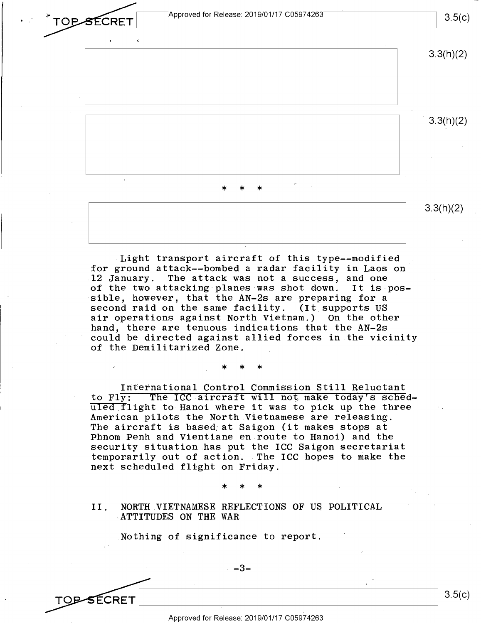**External Proved for Release: 2019/01/17 C05974263**  $\textsf{CRET} \hspace{1.5cm} | \hspace{.15cm} \textsf{5.9(G)}$ 

rOPSECRET

TO<del>D S</del>ECRET

3.5(c)



Light transport aircraft of this type--modified for ground attack--bombed a radar facility in Laos on for ground attack——bombed <sup>a</sup> radar facility in Laos on 12 January. The attack was not a success, and one .12 January. The attack was not <sup>a</sup> success, and one of the two attacking planes was shot down. It is pos-of the two attacking planes was shot down. It is-pos sible, however, that the AN-2s are preparing for a second raid on the same facility. (It supports US second raid on.the same facility. (It supports US air operations against North Vietnam.) On the other air operations against North Vietnam.) 0n the other hand, there are tenuous indications that the AN-2s hand, there are tenuous indications that the AN-Zs could be directed against allied forces in the vicinity could be directed against allied forces in.the vicinity of the Demilitarized Zone. of the Demilitarized Zone.

International Control Commission Still Reluctant International Control Commission Still Reluctant to Fly: The ICC aircraft will not make today's schedto Fiy: The ICC afficialt will hot make today s sched-<br>uled flight to Hanoi where it was to pick up the three American pilots the North Vietnamese are releasing. American pilots the North.Vietnamese are releasing. American priots the North Victhamese are releasing.<br>The aircraft is based at Saigon (it makes stops at Phnom Penh and Vientiane en route to Hanoi) and the Phnom Penh and Vientiane en route to Hanoi) and the security situation has put the ICC Saigon secretariat security situation has put the ICC Saigon secretariat temporarily out of action. The ICC hopes to make the next scheduled fltght on Friday. next scheduled flight on Friday.

\* \* \*

\* \*

\*

\* \* \* \*>|< \*

II. NORTH VIETNAMESE REFLECTIONS OF US POLITICAL II. NORTH.VIETNAMESE REFLECTIONS OF US POLITICAL -ATTITUDES ON THE WAR {ATTITUDES ON THE WAR

Nothing of significance to report. \_Nothing of significance to report.

 $-3-$ 

3.5(c)  $\overline{\text{CRET}}$  3.5(c)